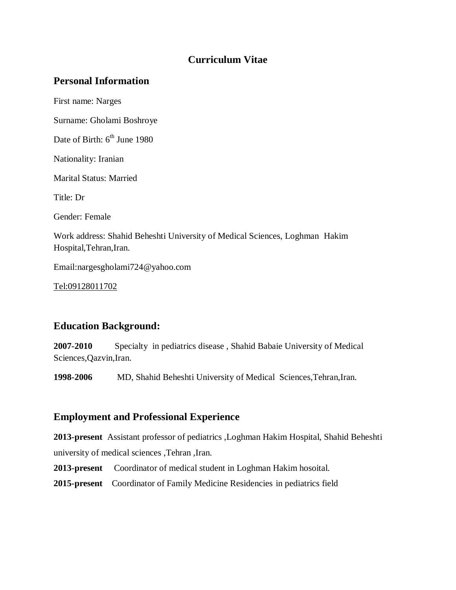## **Curriculum Vitae**

## **Personal Information**

First name: Narges

Surname: Gholami Boshroye

Date of Birth: 6<sup>th</sup> June 1980

Nationality: Iranian

Marital Status: Married

Title: Dr

Gender: Female

Work address: Shahid Beheshti University of Medical Sciences, Loghman Hakim Hospital, Tehran, Iran.

Email:nargesgholami724@yahoo.com

[Tel:09128011702](tel:09128011702)

## **Education Background:**

**2007-2010** Specialty in pediatrics disease , Shahid Babaie University of Medical Sciences,Qazvin,Iran.

**1998-2006** MD, Shahid Beheshti University of Medical Sciences,Tehran,Iran.

## **Employment and Professional Experience**

**2013-present** Assistant professor of pediatrics ,Loghman Hakim Hospital, Shahid Beheshti university of medical sciences ,Tehran ,Iran.

**2013-present** Coordinator of medical student in Loghman Hakim hosoital.

**2015-present** Coordinator of Family Medicine Residencies in pediatrics field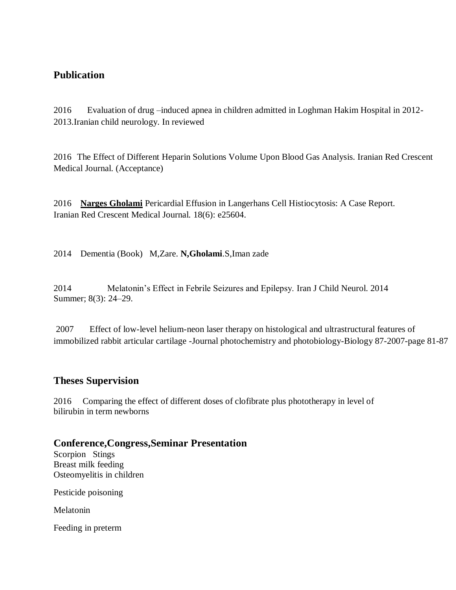## **Publication**

2016 Evaluation of drug –induced apnea in children admitted in Loghman Hakim Hospital in 2012- 2013.Iranian child neurology. In reviewed

2016 The Effect of Different Heparin Solutions Volume Upon Blood Gas Analysis. Iranian Red Crescent Medical Journal. (Acceptance)

2016 **[Narges Gholami](http://ircmj.com/?page=search&article_author_fname=Narges&article_author_mname=&article_author_lname=Gholami&do_search=1&type=authors)** Pericardial Effusion in Langerhans Cell Histiocytosis: A Case Report. Iranian Red Crescent Medical Journal. 18(6): e25604.

2014 Dementia (Book) M,Zare. **N,Gholami**.S,Iman zade

2014 Melatonin's Effect in Febrile Seizures and Epilepsy. Iran J Child Neurol. 2014 Summer; 8(3): 24–29.

2007 Effect of low-level helium-neon laser therapy on histological and ultrastructural features of immobilized rabbit articular cartilage -Journal photochemistry and photobiology-Biology 87-2007-page 81-87

## **Theses Supervision**

2016 Comparing the effect of different doses of clofibrate plus phototherapy in level of bilirubin in term newborns

#### **Conference,Congress,Seminar Presentation**

Scorpion Stings Breast milk feeding [Osteomyelitis](https://www.google.com/url?sa=t&rct=j&q=&esrc=s&source=web&cd=1&cad=rja&uact=8&ved=0ahUKEwi2yOvZ3tDOAhUCVRQKHdXdCCgQFggcMAA&url=https%3A%2F%2Fen.wikipedia.org%2Fwiki%2FOsteomyelitis&usg=AFQjCNFZHvWzDPfDe1aR7OrJ96jTw9L-Ow&sig2=zD3NN50ULjBr5lyCVBYi-g&bvm=bv.129759880,d.d24) in children

Pesticide poisoning

Melatonin

Feeding in preterm